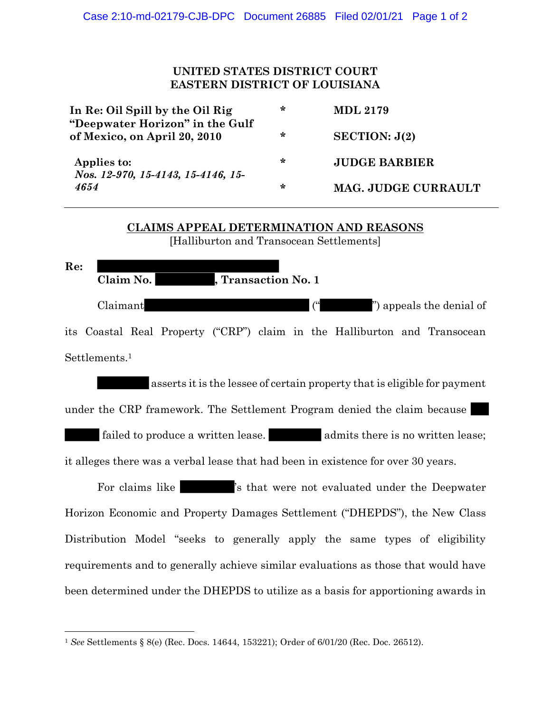## **UNITED STATES DISTRICT COURT EASTERN DISTRICT OF LOUISIANA**

| In Re: Oil Spill by the Oil Rig<br>"Deepwater Horizon" in the Gulf<br>of Mexico, on April 20, 2010 | * | <b>MDL 2179</b>            |
|----------------------------------------------------------------------------------------------------|---|----------------------------|
|                                                                                                    | ∗ | SECTION: $J(2)$            |
| Applies to:<br>Nos. 12-970, 15-4143, 15-4146, 15-<br>4654                                          | ∗ | <b>JUDGE BARBIER</b>       |
|                                                                                                    | ∗ | <b>MAG. JUDGE CURRAULT</b> |

## **CLAIMS APPEAL DETERMINATION AND REASONS** [Halliburton and Transocean Settlements]

**Re: Claim No. , Transaction No. 1** Claimant (" ") appeals the denial of its Coastal Real Property ("CRP") claim in the Halliburton and Transocean Settlements. 1

asserts it is the lessee of certain property that is eligible for payment under the CRP framework. The Settlement Program denied the claim because failed to produce a written lease.  $\blacksquare$  admits there is no written lease;

it alleges there was a verbal lease that had been in existence for over 30 years.

For claims like  $\sim$  's that were not evaluated under the Deepwater Horizon Economic and Property Damages Settlement ("DHEPDS"), the New Class Distribution Model "seeks to generally apply the same types of eligibility requirements and to generally achieve similar evaluations as those that would have been determined under the DHEPDS to utilize as a basis for apportioning awards in

<sup>1</sup> *See* Settlements § 8(e) (Rec. Docs. 14644, 153221); Order of 6/01/20 (Rec. Doc. 26512).